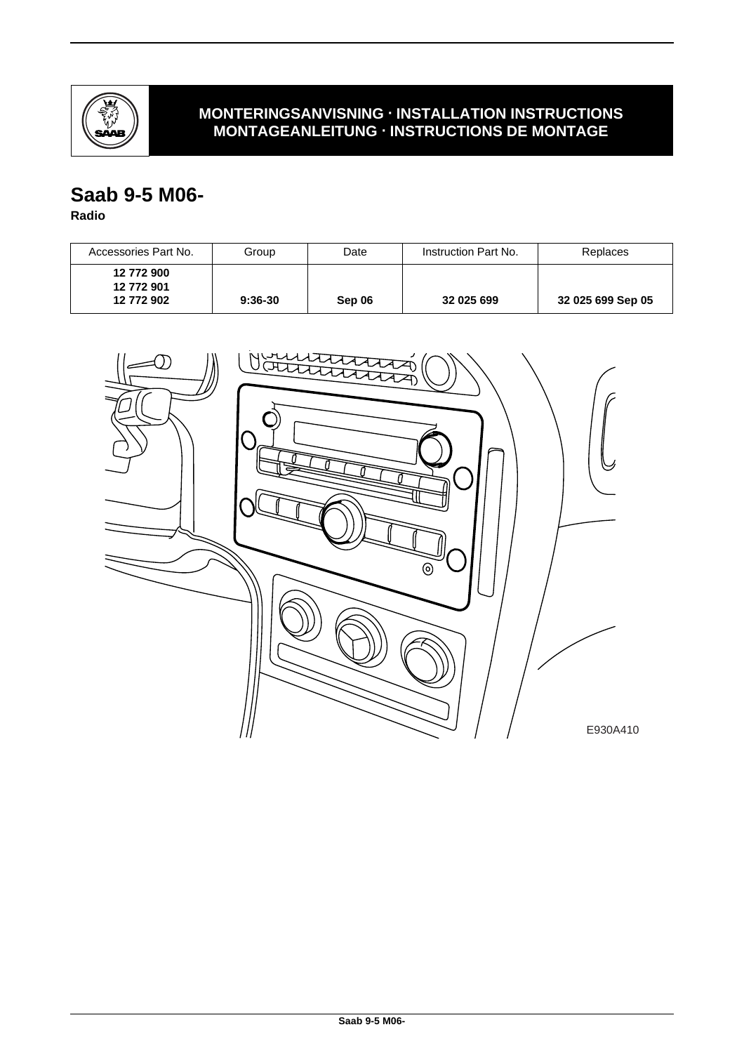

## **MONTERINGSANVISNING · INSTALLATION INSTRUCTIONS MONTAGEANLEITUNG · INSTRUCTIONS DE MONTAGE**

# **Saab 9-5 M06-**

#### **Radio**

| Accessories Part No.                   | Group     | Date   | Instruction Part No. | Replaces          |
|----------------------------------------|-----------|--------|----------------------|-------------------|
| 12 772 900<br>12 772 901<br>12 772 902 | $9:36-30$ | Sep 06 | 32 025 699           | 32 025 699 Sep 05 |

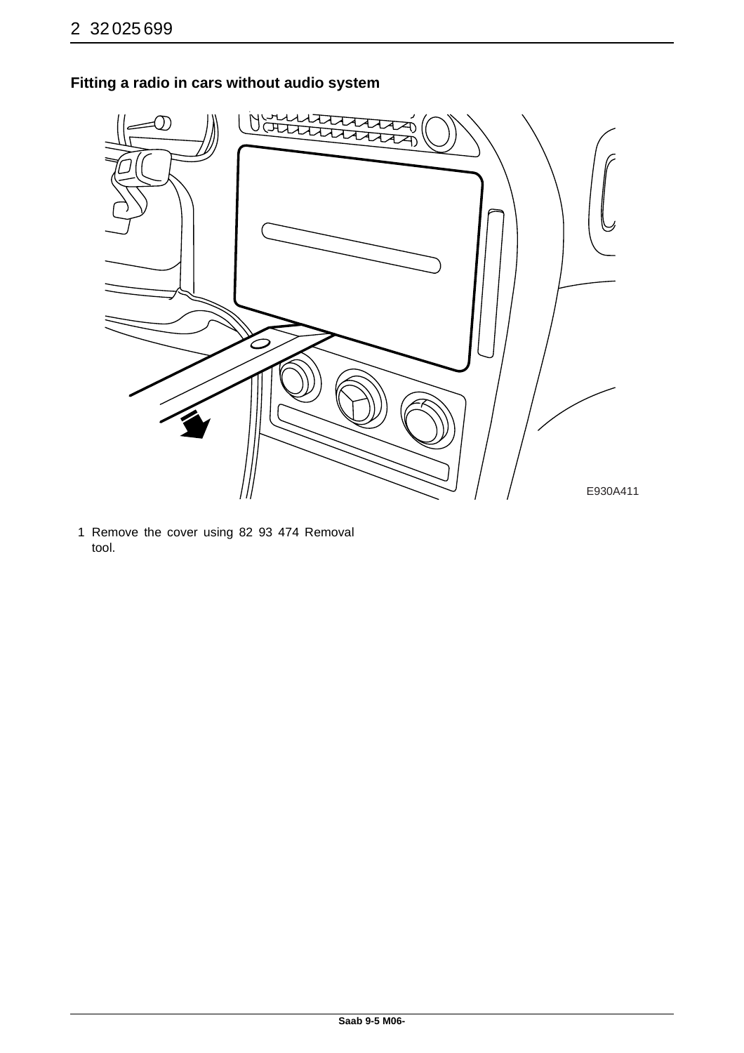

## **Fitting a radio in cars without audio system**

1 Remove the cover using 82 93 474 Removal tool.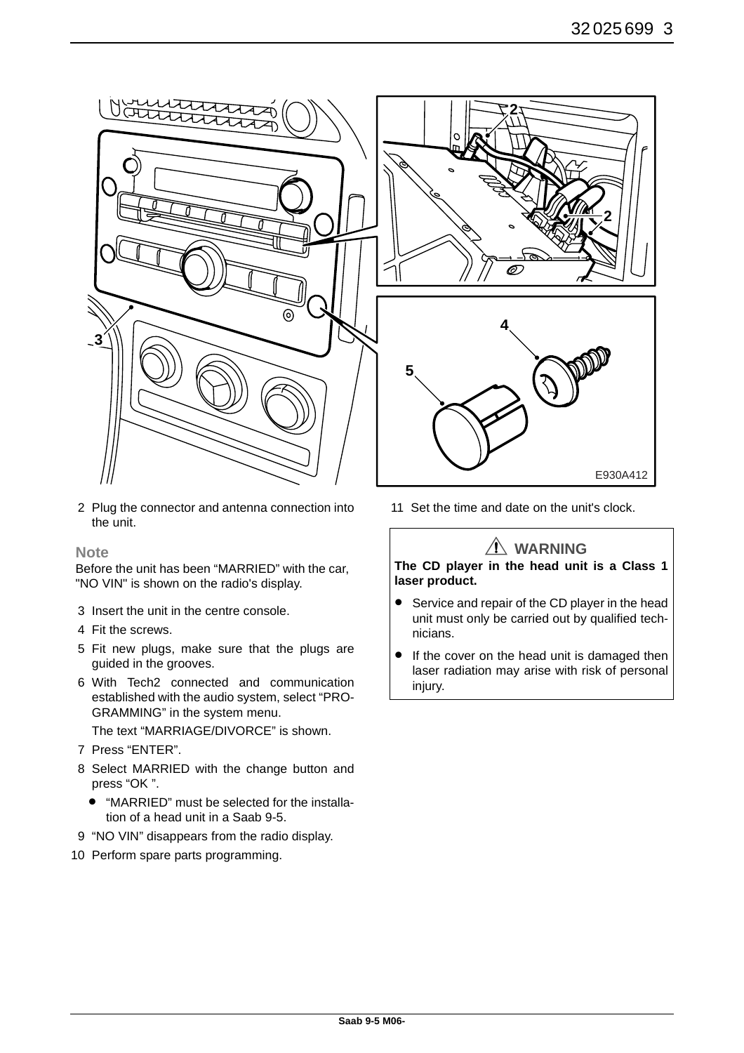

2 Plug the connector and antenna connection into the unit.

#### **Note**

Before the unit has been "MARRIED" with the car, "NO VIN" is shown on the radio's display.

- 3 Insert the unit in the centre console.
- 4 Fit the screws.
- 5 Fit new plugs, make sure that the plugs are guided in the grooves.
- 6 With Tech2 connected and communication established with the audio system, select "PRO-GRAMMING" in the system menu.

The text "MARRIAGE/DIVORCE" is shown.

- 7 Press "ENTER".
- 8 Select MARRIED with the change button and press "OK ".
	- "MARRIED" must be selected for the installation of a head unit in a Saab 9-5.
- 9 "NO VIN" disappears from the radio display.
- 10 Perform spare parts programming.



11 Set the time and date on the unit's clock.

### **WARNING**

**The CD player in the head unit is a Class 1 laser product.**

- Service and repair of the CD player in the head unit must only be carried out by qualified technicians.
- If the cover on the head unit is damaged then laser radiation may arise with risk of personal injury.